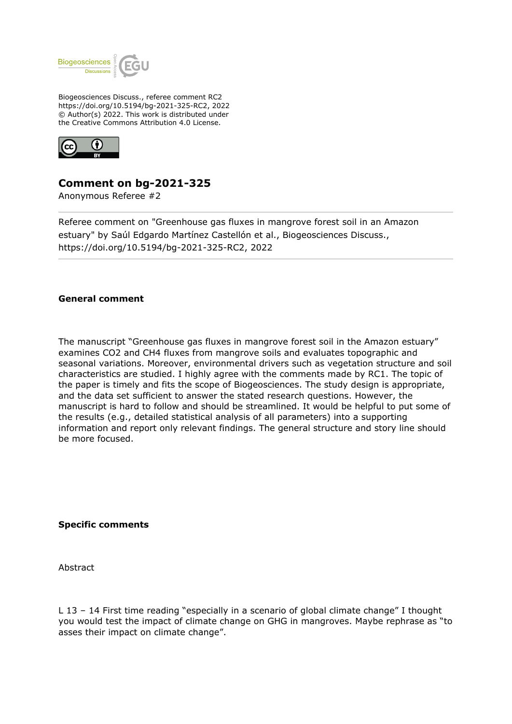

Biogeosciences Discuss., referee comment RC2 https://doi.org/10.5194/bg-2021-325-RC2, 2022 © Author(s) 2022. This work is distributed under the Creative Commons Attribution 4.0 License.



## **Comment on bg-2021-325**

Anonymous Referee #2

Referee comment on "Greenhouse gas fluxes in mangrove forest soil in an Amazon estuary" by Saúl Edgardo Martínez Castellón et al., Biogeosciences Discuss., https://doi.org/10.5194/bg-2021-325-RC2, 2022

## **General comment**

The manuscript "Greenhouse gas fluxes in mangrove forest soil in the Amazon estuary" examines CO2 and CH4 fluxes from mangrove soils and evaluates topographic and seasonal variations. Moreover, environmental drivers such as vegetation structure and soil characteristics are studied. I highly agree with the comments made by RC1. The topic of the paper is timely and fits the scope of Biogeosciences. The study design is appropriate, and the data set sufficient to answer the stated research questions. However, the manuscript is hard to follow and should be streamlined. It would be helpful to put some of the results (e.g., detailed statistical analysis of all parameters) into a supporting information and report only relevant findings. The general structure and story line should be more focused.

**Specific comments**

Abstract

L 13 – 14 First time reading "especially in a scenario of global climate change" I thought you would test the impact of climate change on GHG in mangroves. Maybe rephrase as "to asses their impact on climate change".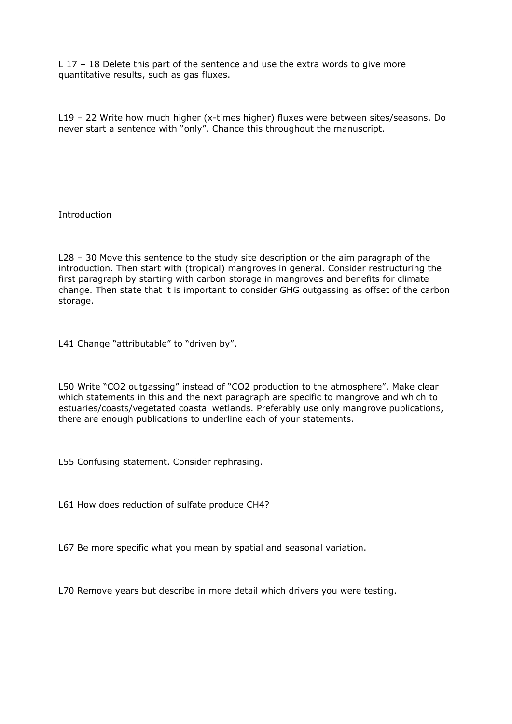L 17 – 18 Delete this part of the sentence and use the extra words to give more quantitative results, such as gas fluxes.

L19 – 22 Write how much higher (x-times higher) fluxes were between sites/seasons. Do never start a sentence with "only". Chance this throughout the manuscript.

Introduction

L28 – 30 Move this sentence to the study site description or the aim paragraph of the introduction. Then start with (tropical) mangroves in general. Consider restructuring the first paragraph by starting with carbon storage in mangroves and benefits for climate change. Then state that it is important to consider GHG outgassing as offset of the carbon storage.

L41 Change "attributable" to "driven by".

L50 Write "CO2 outgassing" instead of "CO2 production to the atmosphere". Make clear which statements in this and the next paragraph are specific to mangrove and which to estuaries/coasts/vegetated coastal wetlands. Preferably use only mangrove publications, there are enough publications to underline each of your statements.

L55 Confusing statement. Consider rephrasing.

L61 How does reduction of sulfate produce CH4?

L67 Be more specific what you mean by spatial and seasonal variation.

L70 Remove years but describe in more detail which drivers you were testing.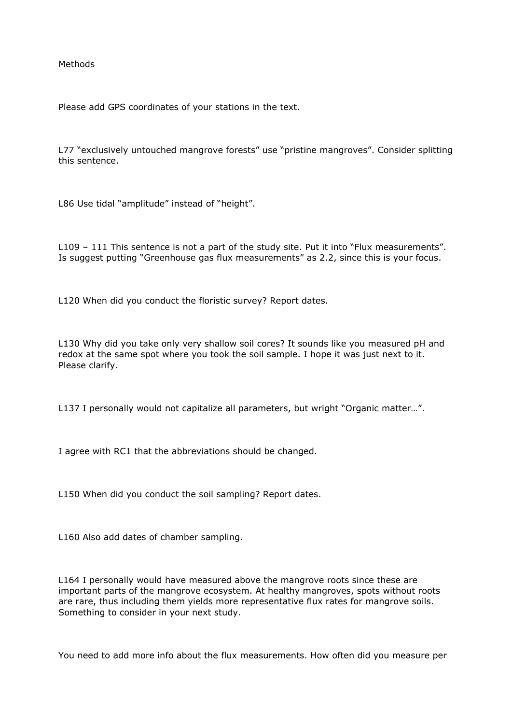Methods

Please add GPS coordinates of your stations in the text.

L77 "exclusively untouched mangrove forests" use "pristine mangroves". Consider splitting this sentence.

L86 Use tidal "amplitude" instead of "height".

L109 – 111 This sentence is not a part of the study site. Put it into "Flux measurements". Is suggest putting "Greenhouse gas flux measurements" as 2.2, since this is your focus.

L120 When did you conduct the floristic survey? Report dates.

L130 Why did you take only very shallow soil cores? It sounds like you measured pH and redox at the same spot where you took the soil sample. I hope it was just next to it. Please clarify.

L137 I personally would not capitalize all parameters, but wright "Organic matter...".

I agree with RC1 that the abbreviations should be changed.

L150 When did you conduct the soil sampling? Report dates.

L160 Also add dates of chamber sampling.

L164 I personally would have measured above the mangrove roots since these are important parts of the mangrove ecosystem. At healthy mangroves, spots without roots are rare, thus including them yields more representative flux rates for mangrove soils. Something to consider in your next study.

You need to add more info about the flux measurements. How often did you measure per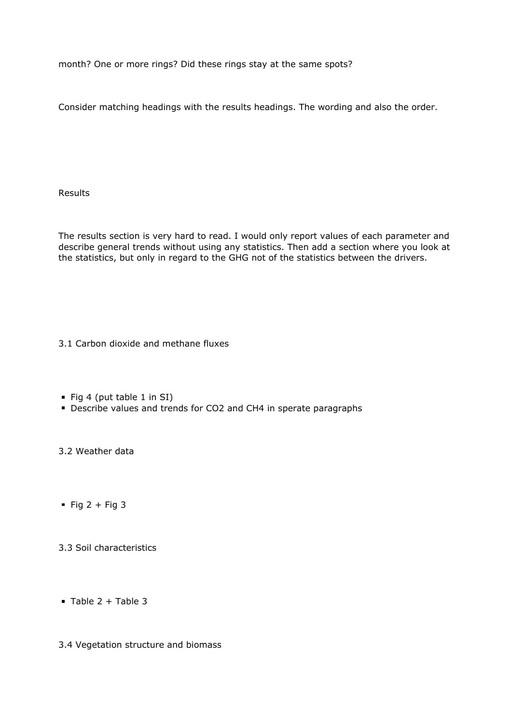month? One or more rings? Did these rings stay at the same spots?

Consider matching headings with the results headings. The wording and also the order.

Results

The results section is very hard to read. I would only report values of each parameter and describe general trends without using any statistics. Then add a section where you look at the statistics, but only in regard to the GHG not of the statistics between the drivers.

3.1 Carbon dioxide and methane fluxes

- Fig 4 (put table 1 in SI)
- Describe values and trends for CO2 and CH4 in sperate paragraphs

3.2 Weather data

 $\blacksquare$  Fig 2 + Fig 3

3.3 Soil characteristics

 $\blacksquare$  Table 2 + Table 3

3.4 Vegetation structure and biomass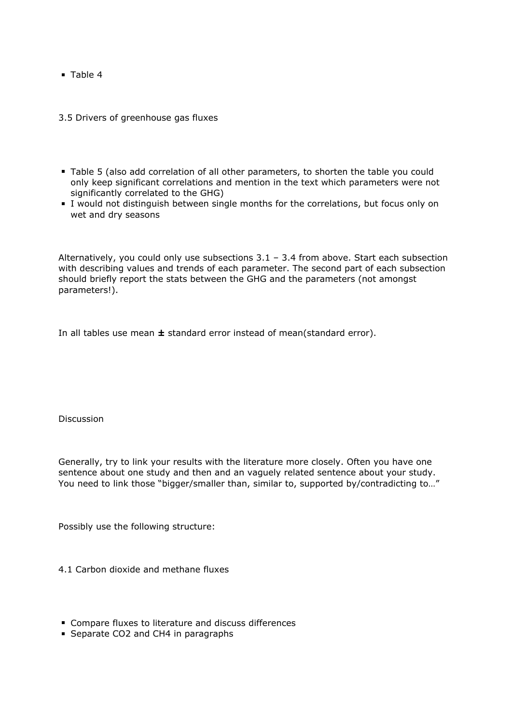**Table 4** 

3.5 Drivers of greenhouse gas fluxes

- Table 5 (also add correlation of all other parameters, to shorten the table you could only keep significant correlations and mention in the text which parameters were not significantly correlated to the GHG)
- I would not distinguish between single months for the correlations, but focus only on wet and dry seasons

Alternatively, you could only use subsections  $3.1 - 3.4$  from above. Start each subsection with describing values and trends of each parameter. The second part of each subsection should briefly report the stats between the GHG and the parameters (not amongst parameters!).

In all tables use mean **±** standard error instead of mean(standard error).

Discussion

Generally, try to link your results with the literature more closely. Often you have one sentence about one study and then and an vaguely related sentence about your study. You need to link those "bigger/smaller than, similar to, supported by/contradicting to…"

Possibly use the following structure:

4.1 Carbon dioxide and methane fluxes

- **EX Compare fluxes to literature and discuss differences**
- Separate CO2 and CH4 in paragraphs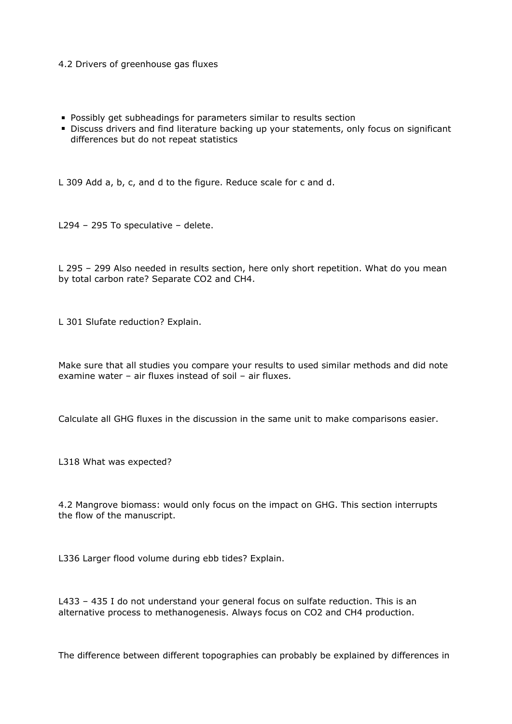## 4.2 Drivers of greenhouse gas fluxes

- **Possibly get subheadings for parameters similar to results section**
- Discuss drivers and find literature backing up your statements, only focus on significant differences but do not repeat statistics

L 309 Add a, b, c, and d to the figure. Reduce scale for c and d.

L294 – 295 To speculative – delete.

L 295 – 299 Also needed in results section, here only short repetition. What do you mean by total carbon rate? Separate CO2 and CH4.

L 301 Slufate reduction? Explain.

Make sure that all studies you compare your results to used similar methods and did note examine water – air fluxes instead of soil – air fluxes.

Calculate all GHG fluxes in the discussion in the same unit to make comparisons easier.

L318 What was expected?

4.2 Mangrove biomass: would only focus on the impact on GHG. This section interrupts the flow of the manuscript.

L336 Larger flood volume during ebb tides? Explain.

L433 – 435 I do not understand your general focus on sulfate reduction. This is an alternative process to methanogenesis. Always focus on CO2 and CH4 production.

The difference between different topographies can probably be explained by differences in